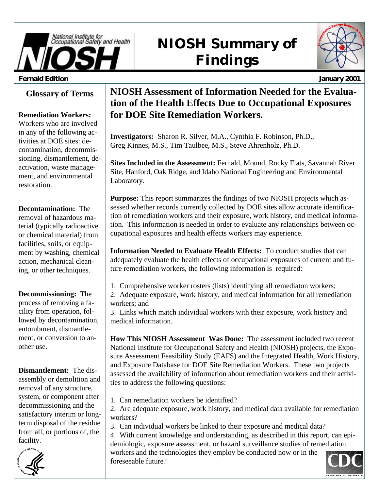

# **NIOSH Summary of Findings**

| Sational Energy Res. | ch. |
|----------------------|-----|
|                      |     |
|                      |     |
|                      |     |

#### **Fernald Edition January 2001**

## **Glossary of Terms**

### **Remediation Workers:**

Workers who are involved in any of the following activities at DOE sites: decontamination, decommissioning, dismantlement, deactivation, waste management, and environmental restoration.

**Decontamination:** The removal of hazardous material (typically radioactive or chemical material) from facilities, soils, or equipment by washing, chemical action, mechanical cleaning, or other techniques.

**Decommissioning:** The process of removing a facility from operation, followed by decontamination, entombment, dismantlement, or conversion to another use.

**Dismantlement:** The disassembly or demolition and removal of any structure, system, or component after decommissioning and the satisfactory interim or longterm disposal of the residue from all, or portions of, the facility.



## **NIOSH Assessment of Information Needed for the Evaluation of the Health Effects Due to Occupational Exposures for DOE Site Remediation Workers.**

**Investigators:** Sharon R. Silver, M.A., Cynthia F. Robinson, Ph.D., Greg Kinnes, M.S., Tim Taulbee, M.S., Steve Ahrenholz, Ph.D.

**Sites Included in the Assessment:** Fernald, Mound, Rocky Flats, Savannah River Site, Hanford, Oak Ridge, and Idaho National Engineering and Environmental Laboratory.

**Purpose:** This report summarizes the findings of two NIOSH projects which assessed whether records currently collected by DOE sites allow accurate identification of remediation workers and their exposure, work history, and medical information. This information is needed in order to evaluate any relationships between occupational exposures and health effects workers may experience.

**Information Needed to Evaluate Health Effects:** To conduct studies that can adequately evaluate the health effects of occupational exposures of current and future remediation workers, the following information is required:

1. Comprehensive worker rosters (lists) identifying all remediaton workers;

2. Adequate exposure, work history, and medical information for all remediation workers; and

3. Links which match individual workers with their exposure, work history and medical information.

**How This NIOSH Assessment Was Done:** The assessment included two recent National Institute for Occupational Safety and Health (NIOSH) projects, the Exposure Assessment Feasibility Study (EAFS) and the Integrated Health, Work History, and Exposure Database for DOE Site Remediation Workers. These two projects assessed the availability of information about remediation workers and their activities to address the following questions:

1. Can remediation workers be identified?

2. Are adequate exposure, work history, and medical data available for remediation workers?

3. Can individual workers be linked to their exposure and medical data?

4. With current knowledge and understanding, as described in this report, can epidemiologic, exposure assessment, or hazard surveillance studies of remediation workers and the technologies they employ be conducted now or in the foreseeable future?

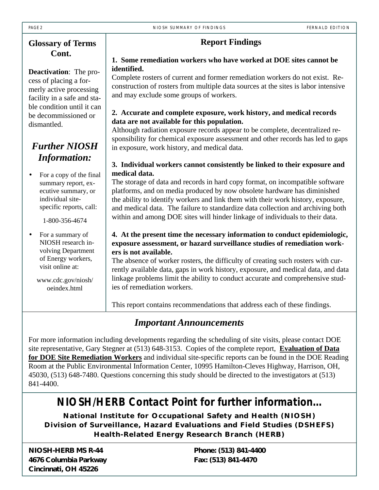## **Glossary of Terms Cont.**

**Deactivation**: The process of placing a formerly active processing facility in a safe and stable condition until it can be decommissioned or dismantled.

## *Further NIOSH Information:*

• For a copy of the final summary report, executive summary, or individual sitespecific reports, call:

1-800-356-4674

• For a summary of NIOSH research involving Department of Energy workers, visit online at:

> www.cdc.gov/niosh/ oeindex.html

## **Report Findings**

### **1. Some remediation workers who have worked at DOE sites cannot be identified.**

Complete rosters of current and former remediation workers do not exist. Reconstruction of rosters from multiple data sources at the sites is labor intensive and may exclude some groups of workers.

## **2. Accurate and complete exposure, work history, and medical records data are not available for this population.**

Although radiation exposure records appear to be complete, decentralized responsibility for chemical exposure assessment and other records has led to gaps in exposure, work history, and medical data.

## **3. Individual workers cannot consistently be linked to their exposure and medical data.**

The storage of data and records in hard copy format, on incompatible software platforms, and on media produced by now obsolete hardware has diminished the ability to identify workers and link them with their work history, exposure, and medical data. The failure to standardize data collection and archiving both within and among DOE sites will hinder linkage of individuals to their data.

## **4. At the present time the necessary information to conduct epidemiologic, exposure assessment, or hazard surveillance studies of remediation workers is not available.**

The absence of worker rosters, the difficulty of creating such rosters with currently available data, gaps in work history, exposure, and medical data, and data linkage problems limit the ability to conduct accurate and comprehensive studies of remediation workers.

This report contains recommendations that address each of these findings.

## *Important Announcements*

For more information including developments regarding the scheduling of site visits, please contact DOE site representative, Gary Stegner at (513) 648-3153. Copies of the complete report, **Evaluation of Data for DOE Site Remediation Workers** and individual site-specific reports can be found in the DOE Reading Room at the Public Environmental Information Center, 10995 Hamilton-Cleves Highway, Harrison, OH, 45030, (513) 648-7480. Questions concerning this study should be directed to the investigators at (513) 841-4400.

## *NIOSH/HERB Contact Point for further information...*

**National Institute for Occupational Safety and Health (NIOSH) Division of Surveillance, Hazard Evaluations and Field Studies (DSHEFS) Health-Related Energy Research Branch (HERB)**

**NIOSH-HERB MS R-44 4676 Columbia Parkway Cincinnati, OH 45226**

**Phone: (513) 841-4400 Fax: (513) 841-4470**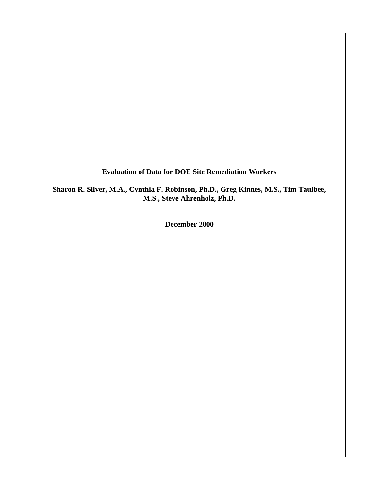**Evaluation of Data for DOE Site Remediation Workers**

**Sharon R. Silver, M.A., Cynthia F. Robinson, Ph.D., Greg Kinnes, M.S., Tim Taulbee, M.S., Steve Ahrenholz, Ph.D.**

**December 2000**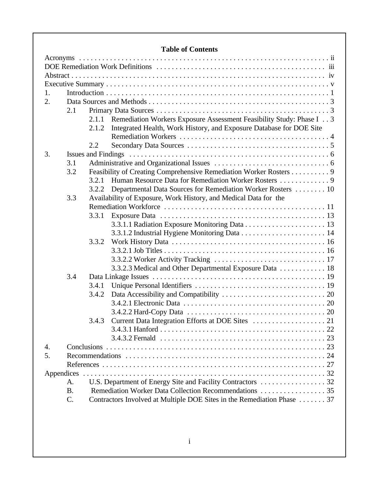## **Table of Contents**

| 1. |           |       |                                                                            |
|----|-----------|-------|----------------------------------------------------------------------------|
| 2. |           |       |                                                                            |
|    | 2.1       |       |                                                                            |
|    |           |       | 2.1.1 Remediation Workers Exposure Assessment Feasibility Study: Phase I 3 |
|    |           | 2.1.2 | Integrated Health, Work History, and Exposure Database for DOE Site        |
|    |           |       |                                                                            |
|    |           | 2.2   |                                                                            |
| 3. |           |       |                                                                            |
|    | 3.1       |       |                                                                            |
|    | 3.2       |       | Feasibility of Creating Comprehensive Remediation Worker Rosters 9         |
|    |           | 3.2.1 |                                                                            |
|    |           | 3.2.2 | Departmental Data Sources for Remediation Worker Rosters  10               |
|    | 3.3       |       | Availability of Exposure, Work History, and Medical Data for the           |
|    |           |       |                                                                            |
|    |           | 3.3.1 |                                                                            |
|    |           |       |                                                                            |
|    |           |       |                                                                            |
|    |           | 3.3.2 |                                                                            |
|    |           |       |                                                                            |
|    |           |       |                                                                            |
|    |           |       | 3.3.2.3 Medical and Other Departmental Exposure Data  18                   |
|    | 3.4       |       |                                                                            |
|    |           | 3.4.1 |                                                                            |
|    |           | 3.4.2 |                                                                            |
|    |           |       |                                                                            |
|    |           |       |                                                                            |
|    |           | 3.4.3 |                                                                            |
|    |           |       |                                                                            |
|    |           |       |                                                                            |
| 4. |           |       |                                                                            |
| 5. |           |       |                                                                            |
|    |           |       |                                                                            |
|    |           |       |                                                                            |
|    | A.        |       |                                                                            |
|    | <b>B.</b> |       |                                                                            |
|    | C.        |       | Contractors Involved at Multiple DOE Sites in the Remediation Phase  37    |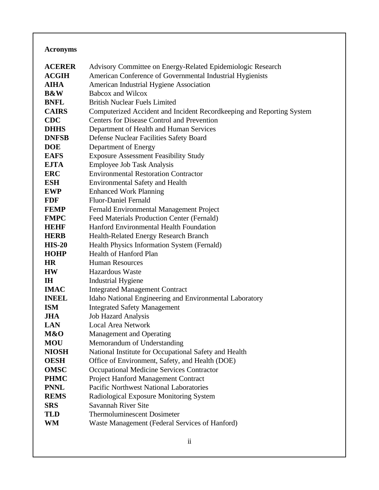## **Acronyms**

| <b>ACERER</b>  | Advisory Committee on Energy-Related Epidemiologic Research           |
|----------------|-----------------------------------------------------------------------|
| <b>ACGIH</b>   | American Conference of Governmental Industrial Hygienists             |
| <b>AIHA</b>    | American Industrial Hygiene Association                               |
| <b>B&amp;W</b> | <b>Babcox and Wilcox</b>                                              |
| <b>BNFL</b>    | <b>British Nuclear Fuels Limited</b>                                  |
| <b>CAIRS</b>   | Computerized Accident and Incident Recordkeeping and Reporting System |
| <b>CDC</b>     | <b>Centers for Disease Control and Prevention</b>                     |
| <b>DHHS</b>    | Department of Health and Human Services                               |
| <b>DNFSB</b>   | Defense Nuclear Facilities Safety Board                               |
| <b>DOE</b>     | Department of Energy                                                  |
| <b>EAFS</b>    | <b>Exposure Assessment Feasibility Study</b>                          |
| <b>EJTA</b>    | <b>Employee Job Task Analysis</b>                                     |
| <b>ERC</b>     | <b>Environmental Restoration Contractor</b>                           |
| <b>ESH</b>     | <b>Environmental Safety and Health</b>                                |
| <b>EWP</b>     | <b>Enhanced Work Planning</b>                                         |
| <b>FDF</b>     | <b>Fluor-Daniel Fernald</b>                                           |
| <b>FEMP</b>    | Fernald Environmental Management Project                              |
| <b>FMPC</b>    | Feed Materials Production Center (Fernald)                            |
| <b>HEHF</b>    | Hanford Environmental Health Foundation                               |
| <b>HERB</b>    | <b>Health-Related Energy Research Branch</b>                          |
| <b>HIS-20</b>  | Health Physics Information System (Fernald)                           |
| <b>HOHP</b>    | Health of Hanford Plan                                                |
| <b>HR</b>      | <b>Human Resources</b>                                                |
| <b>HW</b>      | Hazardous Waste                                                       |
| IH             | <b>Industrial Hygiene</b>                                             |
| <b>IMAC</b>    | <b>Integrated Management Contract</b>                                 |
| <b>INEEL</b>   | Idaho National Engineering and Environmental Laboratory               |
| <b>ISM</b>     | <b>Integrated Safety Management</b>                                   |
| <b>JHA</b>     | <b>Job Hazard Analysis</b>                                            |
| <b>LAN</b>     | <b>Local Area Network</b>                                             |
| M&O            | <b>Management and Operating</b>                                       |
| <b>MOU</b>     | Memorandum of Understanding                                           |
| <b>NIOSH</b>   | National Institute for Occupational Safety and Health                 |
| <b>OESH</b>    | Office of Environment, Safety, and Health (DOE)                       |
| <b>OMSC</b>    | <b>Occupational Medicine Services Contractor</b>                      |
| <b>PHMC</b>    | <b>Project Hanford Management Contract</b>                            |
| <b>PNNL</b>    | <b>Pacific Northwest National Laboratories</b>                        |
| <b>REMS</b>    | Radiological Exposure Monitoring System                               |
| <b>SRS</b>     | Savannah River Site                                                   |
| TLD            | <b>Thermoluminescent Dosimeter</b>                                    |
| WM             | Waste Management (Federal Services of Hanford)                        |
|                |                                                                       |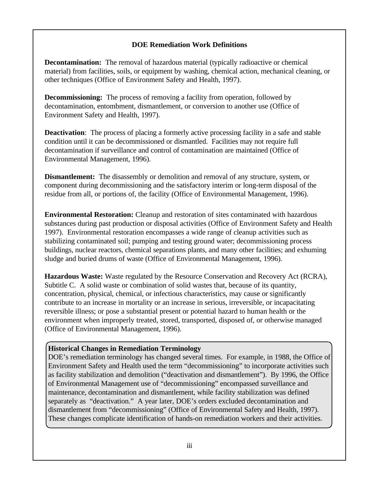#### **DOE Remediation Work Definitions**

**Decontamination:** The removal of hazardous material (typically radioactive or chemical material) from facilities, soils, or equipment by washing, chemical action, mechanical cleaning, or other techniques (Office of Environment Safety and Health, 1997).

**Decommissioning:** The process of removing a facility from operation, followed by decontamination, entombment, dismantlement, or conversion to another use (Office of Environment Safety and Health, 1997).

**Deactivation**: The process of placing a formerly active processing facility in a safe and stable condition until it can be decommissioned or dismantled. Facilities may not require full decontamination if surveillance and control of contamination are maintained (Office of Environmental Management, 1996).

**Dismantlement:** The disassembly or demolition and removal of any structure, system, or component during decommissioning and the satisfactory interim or long-term disposal of the residue from all, or portions of, the facility (Office of Environmental Management, 1996).

**Environmental Restoration:** Cleanup and restoration of sites contaminated with hazardous substances during past production or disposal activities (Office of Environment Safety and Health 1997). Environmental restoration encompasses a wide range of cleanup activities such as stabilizing contaminated soil; pumping and testing ground water; decommissioning process buildings, nuclear reactors, chemical separations plants, and many other facilities; and exhuming sludge and buried drums of waste (Office of Environmental Management, 1996)*.*

**Hazardous Waste:** Waste regulated by the Resource Conservation and Recovery Act (RCRA), Subtitle C. A solid waste or combination of solid wastes that, because of its quantity, concentration, physical, chemical, or infectious characteristics, may cause or significantly contribute to an increase in mortality or an increase in serious, irreversible, or incapacitating reversible illness; or pose a substantial present or potential hazard to human health or the environment when improperly treated, stored, transported, disposed of, or otherwise managed (Office of Environmental Management, 1996).

#### **Historical Changes in Remediation Terminology**

DOE's remediation terminology has changed several times. For example, in 1988, the Office of Environment Safety and Health used the term "decommissioning" to incorporate activities such as facility stabilization and demolition ("deactivation and dismantlement"). By 1996, the Office of Environmental Management use of "decommissioning" encompassed surveillance and maintenance, decontamination and dismantlement, while facility stabilization was defined separately as "deactivation." A year later, DOE's orders excluded decontamination and dismantlement from "decommissioning" (Office of Environmental Safety and Health, 1997). These changes complicate identification of hands-on remediation workers and their activities.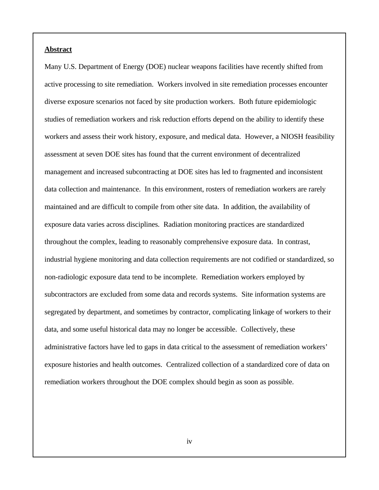#### **Abstract**

Many U.S. Department of Energy (DOE) nuclear weapons facilities have recently shifted from active processing to site remediation. Workers involved in site remediation processes encounter diverse exposure scenarios not faced by site production workers. Both future epidemiologic studies of remediation workers and risk reduction efforts depend on the ability to identify these workers and assess their work history, exposure, and medical data. However, a NIOSH feasibility assessment at seven DOE sites has found that the current environment of decentralized management and increased subcontracting at DOE sites has led to fragmented and inconsistent data collection and maintenance. In this environment, rosters of remediation workers are rarely maintained and are difficult to compile from other site data. In addition, the availability of exposure data varies across disciplines. Radiation monitoring practices are standardized throughout the complex, leading to reasonably comprehensive exposure data. In contrast, industrial hygiene monitoring and data collection requirements are not codified or standardized, so non-radiologic exposure data tend to be incomplete. Remediation workers employed by subcontractors are excluded from some data and records systems. Site information systems are segregated by department, and sometimes by contractor, complicating linkage of workers to their data, and some useful historical data may no longer be accessible. Collectively, these administrative factors have led to gaps in data critical to the assessment of remediation workers' exposure histories and health outcomes. Centralized collection of a standardized core of data on remediation workers throughout the DOE complex should begin as soon as possible.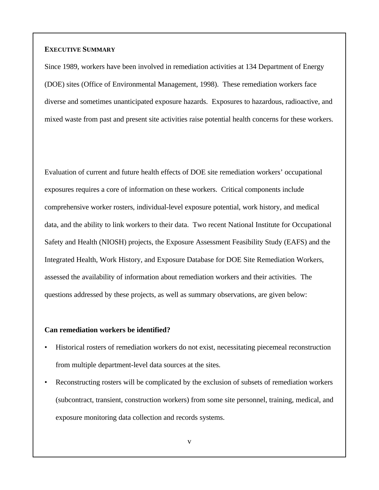#### **EXECUTIVE SUMMARY**

Since 1989, workers have been involved in remediation activities at 134 Department of Energy (DOE) sites (Office of Environmental Management, 1998). These remediation workers face diverse and sometimes unanticipated exposure hazards. Exposures to hazardous, radioactive, and mixed waste from past and present site activities raise potential health concerns for these workers.

Evaluation of current and future health effects of DOE site remediation workers' occupational exposures requires a core of information on these workers. Critical components include comprehensive worker rosters, individual-level exposure potential, work history, and medical data, and the ability to link workers to their data. Two recent National Institute for Occupational Safety and Health (NIOSH) projects, the Exposure Assessment Feasibility Study (EAFS) and the Integrated Health, Work History, and Exposure Database for DOE Site Remediation Workers, assessed the availability of information about remediation workers and their activities. The questions addressed by these projects, as well as summary observations, are given below:

#### **Can remediation workers be identified?**

- Historical rosters of remediation workers do not exist, necessitating piecemeal reconstruction from multiple department-level data sources at the sites.
- Reconstructing rosters will be complicated by the exclusion of subsets of remediation workers (subcontract, transient, construction workers) from some site personnel, training, medical, and exposure monitoring data collection and records systems.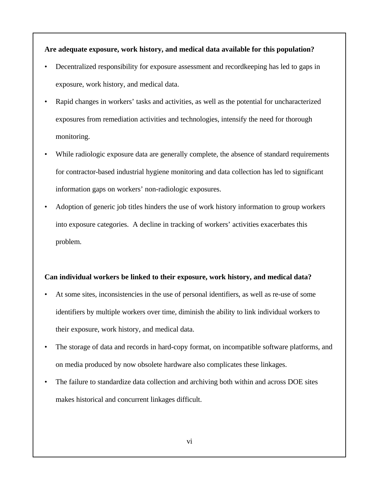#### **Are adequate exposure, work history, and medical data available for this population?**

- Decentralized responsibility for exposure assessment and recordkeeping has led to gaps in exposure, work history, and medical data.
- Rapid changes in workers' tasks and activities, as well as the potential for uncharacterized exposures from remediation activities and technologies, intensify the need for thorough monitoring.
- While radiologic exposure data are generally complete, the absence of standard requirements for contractor-based industrial hygiene monitoring and data collection has led to significant information gaps on workers' non-radiologic exposures.
- Adoption of generic job titles hinders the use of work history information to group workers into exposure categories. A decline in tracking of workers' activities exacerbates this problem.

#### **Can individual workers be linked to their exposure, work history, and medical data?**

- At some sites, inconsistencies in the use of personal identifiers, as well as re-use of some identifiers by multiple workers over time, diminish the ability to link individual workers to their exposure, work history, and medical data.
- The storage of data and records in hard-copy format, on incompatible software platforms, and on media produced by now obsolete hardware also complicates these linkages.
- The failure to standardize data collection and archiving both within and across DOE sites makes historical and concurrent linkages difficult.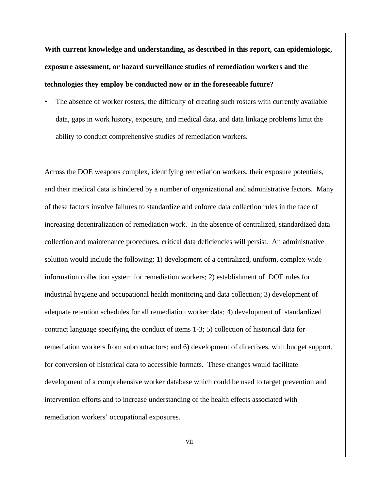**With current knowledge and understanding, as described in this report, can epidemiologic, exposure assessment, or hazard surveillance studies of remediation workers and the technologies they employ be conducted now or in the foreseeable future?**

The absence of worker rosters, the difficulty of creating such rosters with currently available data, gaps in work history, exposure, and medical data, and data linkage problems limit the ability to conduct comprehensive studies of remediation workers.

Across the DOE weapons complex, identifying remediation workers, their exposure potentials, and their medical data is hindered by a number of organizational and administrative factors. Many of these factors involve failures to standardize and enforce data collection rules in the face of increasing decentralization of remediation work. In the absence of centralized, standardized data collection and maintenance procedures, critical data deficiencies will persist. An administrative solution would include the following: 1) development of a centralized, uniform, complex-wide information collection system for remediation workers; 2) establishment of DOE rules for industrial hygiene and occupational health monitoring and data collection; 3) development of adequate retention schedules for all remediation worker data; 4) development of standardized contract language specifying the conduct of items 1-3; 5) collection of historical data for remediation workers from subcontractors; and 6) development of directives, with budget support, for conversion of historical data to accessible formats. These changes would facilitate development of a comprehensive worker database which could be used to target prevention and intervention efforts and to increase understanding of the health effects associated with remediation workers' occupational exposures.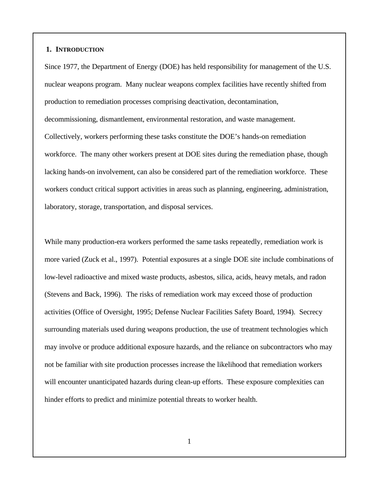#### **1. INTRODUCTION**

Since 1977, the Department of Energy (DOE) has held responsibility for management of the U.S. nuclear weapons program. Many nuclear weapons complex facilities have recently shifted from production to remediation processes comprising deactivation, decontamination, decommissioning, dismantlement, environmental restoration, and waste management. Collectively, workers performing these tasks constitute the DOE's hands-on remediation workforce. The many other workers present at DOE sites during the remediation phase, though lacking hands-on involvement, can also be considered part of the remediation workforce. These workers conduct critical support activities in areas such as planning, engineering, administration, laboratory, storage, transportation, and disposal services.

While many production-era workers performed the same tasks repeatedly, remediation work is more varied (Zuck et al., 1997). Potential exposures at a single DOE site include combinations of low-level radioactive and mixed waste products, asbestos, silica, acids, heavy metals, and radon (Stevens and Back, 1996). The risks of remediation work may exceed those of production activities (Office of Oversight, 1995; Defense Nuclear Facilities Safety Board, 1994). Secrecy surrounding materials used during weapons production, the use of treatment technologies which may involve or produce additional exposure hazards, and the reliance on subcontractors who may not be familiar with site production processes increase the likelihood that remediation workers will encounter unanticipated hazards during clean-up efforts. These exposure complexities can hinder efforts to predict and minimize potential threats to worker health.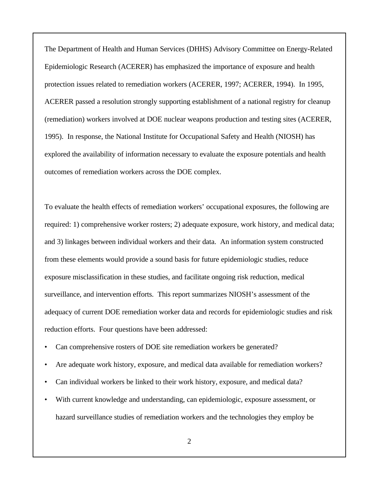The Department of Health and Human Services (DHHS) Advisory Committee on Energy-Related Epidemiologic Research (ACERER) has emphasized the importance of exposure and health protection issues related to remediation workers (ACERER, 1997; ACERER, 1994). In 1995, ACERER passed a resolution strongly supporting establishment of a national registry for cleanup (remediation) workers involved at DOE nuclear weapons production and testing sites (ACERER, 1995). In response, the National Institute for Occupational Safety and Health (NIOSH) has explored the availability of information necessary to evaluate the exposure potentials and health outcomes of remediation workers across the DOE complex.

To evaluate the health effects of remediation workers' occupational exposures, the following are required: 1) comprehensive worker rosters; 2) adequate exposure, work history, and medical data; and 3) linkages between individual workers and their data. An information system constructed from these elements would provide a sound basis for future epidemiologic studies, reduce exposure misclassification in these studies, and facilitate ongoing risk reduction, medical surveillance, and intervention efforts. This report summarizes NIOSH's assessment of the adequacy of current DOE remediation worker data and records for epidemiologic studies and risk reduction efforts. Four questions have been addressed:

- Can comprehensive rosters of DOE site remediation workers be generated?
- Are adequate work history, exposure, and medical data available for remediation workers?
- Can individual workers be linked to their work history, exposure, and medical data?
- With current knowledge and understanding, can epidemiologic, exposure assessment, or hazard surveillance studies of remediation workers and the technologies they employ be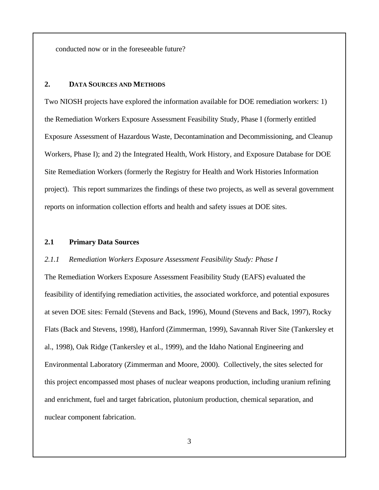conducted now or in the foreseeable future?

#### **2. DATA SOURCES AND METHODS**

Two NIOSH projects have explored the information available for DOE remediation workers: 1) the Remediation Workers Exposure Assessment Feasibility Study, Phase I (formerly entitled Exposure Assessment of Hazardous Waste, Decontamination and Decommissioning, and Cleanup Workers, Phase I); and 2) the Integrated Health, Work History, and Exposure Database for DOE Site Remediation Workers (formerly the Registry for Health and Work Histories Information project). This report summarizes the findings of these two projects, as well as several government reports on information collection efforts and health and safety issues at DOE sites.

#### **2.1 Primary Data Sources**

#### *2.1.1 Remediation Workers Exposure Assessment Feasibility Study: Phase I*

The Remediation Workers Exposure Assessment Feasibility Study (EAFS) evaluated the feasibility of identifying remediation activities, the associated workforce, and potential exposures at seven DOE sites: Fernald (Stevens and Back, 1996), Mound (Stevens and Back, 1997), Rocky Flats (Back and Stevens, 1998), Hanford (Zimmerman, 1999), Savannah River Site (Tankersley et al., 1998), Oak Ridge (Tankersley et al., 1999), and the Idaho National Engineering and Environmental Laboratory (Zimmerman and Moore, 2000). Collectively, the sites selected for this project encompassed most phases of nuclear weapons production, including uranium refining and enrichment, fuel and target fabrication, plutonium production, chemical separation, and nuclear component fabrication.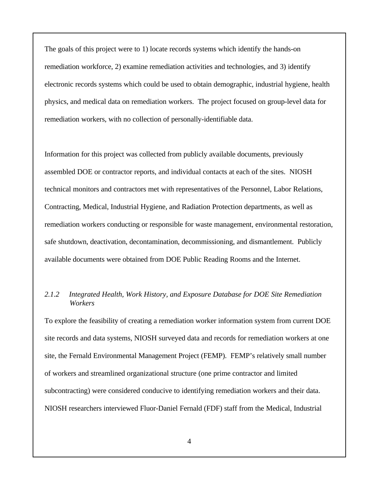The goals of this project were to 1) locate records systems which identify the hands-on remediation workforce, 2) examine remediation activities and technologies, and 3) identify electronic records systems which could be used to obtain demographic, industrial hygiene, health physics, and medical data on remediation workers. The project focused on group-level data for remediation workers, with no collection of personally-identifiable data.

Information for this project was collected from publicly available documents, previously assembled DOE or contractor reports, and individual contacts at each of the sites. NIOSH technical monitors and contractors met with representatives of the Personnel, Labor Relations, Contracting, Medical, Industrial Hygiene, and Radiation Protection departments, as well as remediation workers conducting or responsible for waste management, environmental restoration, safe shutdown, deactivation, decontamination, decommissioning, and dismantlement. Publicly available documents were obtained from DOE Public Reading Rooms and the Internet.

#### *2.1.2 Integrated Health, Work History, and Exposure Database for DOE Site Remediation Workers*

To explore the feasibility of creating a remediation worker information system from current DOE site records and data systems, NIOSH surveyed data and records for remediation workers at one site, the Fernald Environmental Management Project (FEMP). FEMP's relatively small number of workers and streamlined organizational structure (one prime contractor and limited subcontracting) were considered conducive to identifying remediation workers and their data. NIOSH researchers interviewed Fluor-Daniel Fernald (FDF) staff from the Medical, Industrial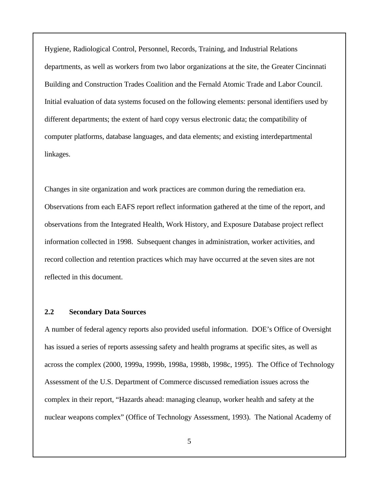Hygiene, Radiological Control, Personnel, Records, Training, and Industrial Relations departments, as well as workers from two labor organizations at the site, the Greater Cincinnati Building and Construction Trades Coalition and the Fernald Atomic Trade and Labor Council. Initial evaluation of data systems focused on the following elements: personal identifiers used by different departments; the extent of hard copy versus electronic data; the compatibility of computer platforms, database languages, and data elements; and existing interdepartmental linkages.

Changes in site organization and work practices are common during the remediation era. Observations from each EAFS report reflect information gathered at the time of the report, and observations from the Integrated Health, Work History, and Exposure Database project reflect information collected in 1998. Subsequent changes in administration, worker activities, and record collection and retention practices which may have occurred at the seven sites are not reflected in this document.

#### **2.2 Secondary Data Sources**

A number of federal agency reports also provided useful information. DOE's Office of Oversight has issued a series of reports assessing safety and health programs at specific sites, as well as across the complex (2000, 1999a, 1999b, 1998a, 1998b, 1998c, 1995). The Office of Technology Assessment of the U.S. Department of Commerce discussed remediation issues across the complex in their report, "Hazards ahead: managing cleanup, worker health and safety at the nuclear weapons complex" (Office of Technology Assessment, 1993). The National Academy of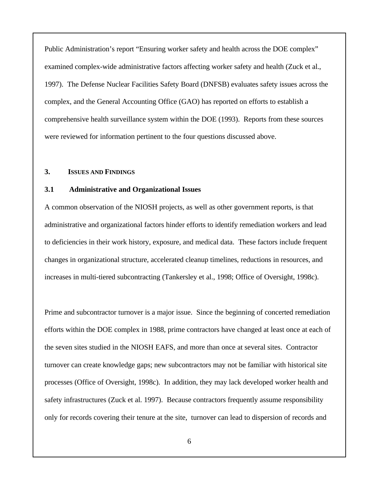Public Administration's report "Ensuring worker safety and health across the DOE complex" examined complex-wide administrative factors affecting worker safety and health (Zuck et al., 1997). The Defense Nuclear Facilities Safety Board (DNFSB) evaluates safety issues across the complex, and the General Accounting Office (GAO) has reported on efforts to establish a comprehensive health surveillance system within the DOE (1993). Reports from these sources were reviewed for information pertinent to the four questions discussed above.

#### **3. ISSUES AND FINDINGS**

#### **3.1 Administrative and Organizational Issues**

A common observation of the NIOSH projects, as well as other government reports, is that administrative and organizational factors hinder efforts to identify remediation workers and lead to deficiencies in their work history, exposure, and medical data. These factors include frequent changes in organizational structure, accelerated cleanup timelines, reductions in resources, and increases in multi-tiered subcontracting (Tankersley et al., 1998; Office of Oversight, 1998c).

Prime and subcontractor turnover is a major issue. Since the beginning of concerted remediation efforts within the DOE complex in 1988, prime contractors have changed at least once at each of the seven sites studied in the NIOSH EAFS, and more than once at several sites. Contractor turnover can create knowledge gaps; new subcontractors may not be familiar with historical site processes (Office of Oversight, 1998c). In addition, they may lack developed worker health and safety infrastructures (Zuck et al. 1997). Because contractors frequently assume responsibility only for records covering their tenure at the site, turnover can lead to dispersion of records and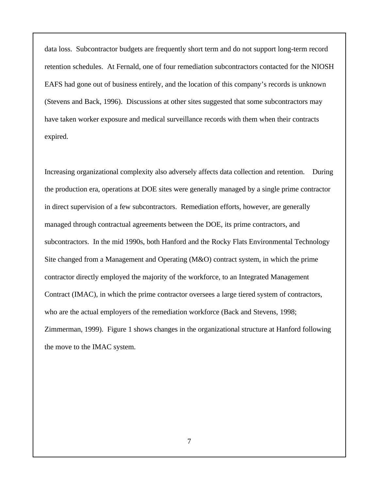data loss. Subcontractor budgets are frequently short term and do not support long-term record retention schedules. At Fernald, one of four remediation subcontractors contacted for the NIOSH EAFS had gone out of business entirely, and the location of this company's records is unknown (Stevens and Back, 1996). Discussions at other sites suggested that some subcontractors may have taken worker exposure and medical surveillance records with them when their contracts expired.

Increasing organizational complexity also adversely affects data collection and retention. During the production era, operations at DOE sites were generally managed by a single prime contractor in direct supervision of a few subcontractors. Remediation efforts, however, are generally managed through contractual agreements between the DOE, its prime contractors, and subcontractors. In the mid 1990s, both Hanford and the Rocky Flats Environmental Technology Site changed from a Management and Operating (M&O) contract system, in which the prime contractor directly employed the majority of the workforce, to an Integrated Management Contract (IMAC), in which the prime contractor oversees a large tiered system of contractors, who are the actual employers of the remediation workforce (Back and Stevens, 1998; Zimmerman, 1999). Figure 1 shows changes in the organizational structure at Hanford following the move to the IMAC system.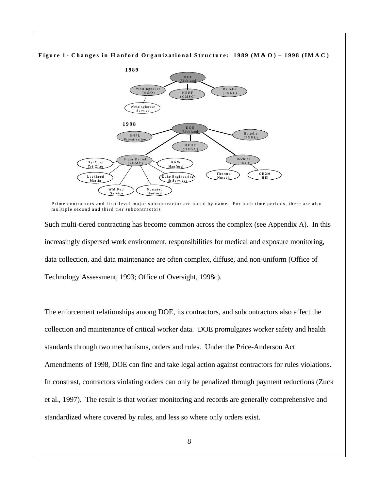

Prime contractors and first-level major subcontractor are noted by name. For both time periods, there are also m u ltiple second and third tier subcontractors

Such multi-tiered contracting has become common across the complex (see Appendix A). In this increasingly dispersed work environment, responsibilities for medical and exposure monitoring, data collection, and data maintenance are often complex, diffuse, and non-uniform (Office of Technology Assessment, 1993; Office of Oversight, 1998c).

The enforcement relationships among DOE, its contractors, and subcontractors also affect the collection and maintenance of critical worker data. DOE promulgates worker safety and health standards through two mechanisms, orders and rules. Under the Price-Anderson Act Amendments of 1998, DOE can fine and take legal action against contractors for rules violations. In constrast, contractors violating orders can only be penalized through payment reductions (Zuck et al., 1997). The result is that worker monitoring and records are generally comprehensive and standardized where covered by rules, and less so where only orders exist.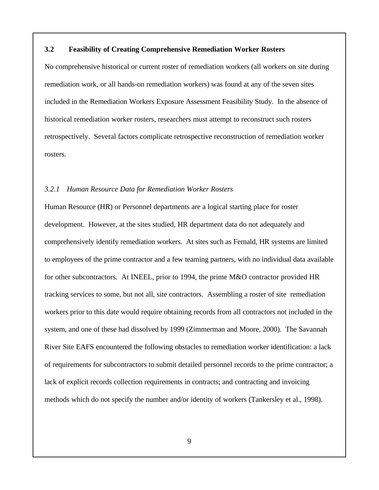#### **3.2 Feasibility of Creating Comprehensive Remediation Worker Rosters**

No comprehensive historical or current roster of remediation workers (all workers on site during remediation work, or all hands-on remediation workers) was found at any of the seven sites included in the Remediation Workers Exposure Assessment Feasibility Study. In the absence of historical remediation worker rosters, researchers must attempt to reconstruct such rosters retrospectively. Several factors complicate retrospective reconstruction of remediation worker rosters.

#### *3.2.1 Human Resource Data for Remediation Worker Rosters*

Human Resource (HR) or Personnel departments are a logical starting place for roster development. However, at the sites studied, HR department data do not adequately and comprehensively identify remediation workers. At sites such as Fernald, HR systems are limited to employees of the prime contractor and a few teaming partners, with no individual data available for other subcontractors. At INEEL, prior to 1994, the prime M&O contractor provided HR tracking services to some, but not all, site contractors. Assembling a roster of site remediation workers prior to this date would require obtaining records from all contractors not included in the system, and one of these had dissolved by 1999 (Zimmerman and Moore, 2000). The Savannah River Site EAFS encountered the following obstacles to remediation worker identification: a lack of requirements for subcontractors to submit detailed personnel records to the prime contractor; a lack of explicit records collection requirements in contracts; and contracting and invoicing methods which do not specify the number and/or identity of workers (Tankersley et al., 1998).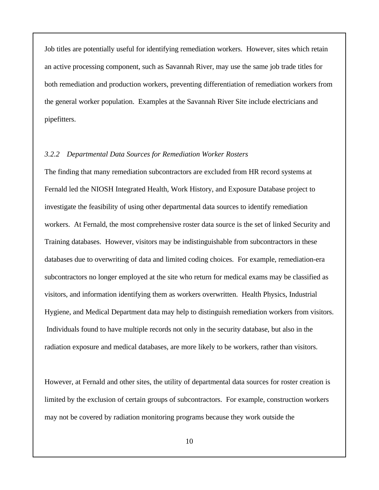Job titles are potentially useful for identifying remediation workers. However, sites which retain an active processing component, such as Savannah River, may use the same job trade titles for both remediation and production workers, preventing differentiation of remediation workers from the general worker population. Examples at the Savannah River Site include electricians and pipefitters.

#### *3.2.2 Departmental Data Sources for Remediation Worker Rosters*

The finding that many remediation subcontractors are excluded from HR record systems at Fernald led the NIOSH Integrated Health, Work History, and Exposure Database project to investigate the feasibility of using other departmental data sources to identify remediation workers. At Fernald, the most comprehensive roster data source is the set of linked Security and Training databases. However, visitors may be indistinguishable from subcontractors in these databases due to overwriting of data and limited coding choices. For example, remediation-era subcontractors no longer employed at the site who return for medical exams may be classified as visitors, and information identifying them as workers overwritten. Health Physics, Industrial Hygiene, and Medical Department data may help to distinguish remediation workers from visitors. Individuals found to have multiple records not only in the security database, but also in the radiation exposure and medical databases, are more likely to be workers, rather than visitors.

However, at Fernald and other sites, the utility of departmental data sources for roster creation is limited by the exclusion of certain groups of subcontractors. For example, construction workers may not be covered by radiation monitoring programs because they work outside the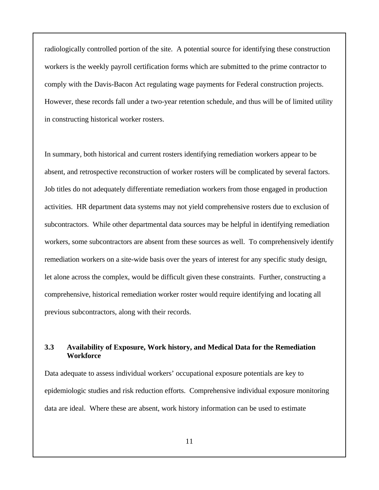radiologically controlled portion of the site. A potential source for identifying these construction workers is the weekly payroll certification forms which are submitted to the prime contractor to comply with the Davis-Bacon Act regulating wage payments for Federal construction projects. However, these records fall under a two-year retention schedule, and thus will be of limited utility in constructing historical worker rosters.

In summary, both historical and current rosters identifying remediation workers appear to be absent, and retrospective reconstruction of worker rosters will be complicated by several factors. Job titles do not adequately differentiate remediation workers from those engaged in production activities. HR department data systems may not yield comprehensive rosters due to exclusion of subcontractors. While other departmental data sources may be helpful in identifying remediation workers, some subcontractors are absent from these sources as well. To comprehensively identify remediation workers on a site-wide basis over the years of interest for any specific study design, let alone across the complex, would be difficult given these constraints. Further, constructing a comprehensive, historical remediation worker roster would require identifying and locating all previous subcontractors, along with their records.

### **3.3 Availability of Exposure, Work history, and Medical Data for the Remediation Workforce**

Data adequate to assess individual workers' occupational exposure potentials are key to epidemiologic studies and risk reduction efforts. Comprehensive individual exposure monitoring data are ideal. Where these are absent, work history information can be used to estimate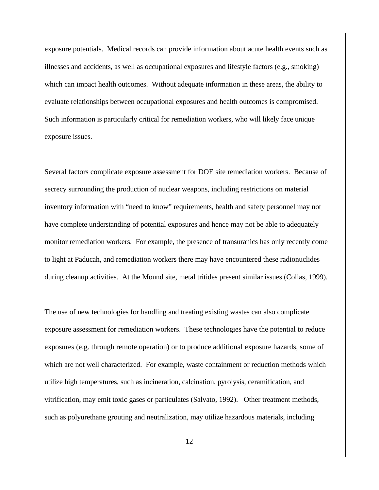exposure potentials. Medical records can provide information about acute health events such as illnesses and accidents, as well as occupational exposures and lifestyle factors (e.g., smoking) which can impact health outcomes. Without adequate information in these areas, the ability to evaluate relationships between occupational exposures and health outcomes is compromised. Such information is particularly critical for remediation workers, who will likely face unique exposure issues.

Several factors complicate exposure assessment for DOE site remediation workers. Because of secrecy surrounding the production of nuclear weapons, including restrictions on material inventory information with "need to know" requirements, health and safety personnel may not have complete understanding of potential exposures and hence may not be able to adequately monitor remediation workers. For example, the presence of transuranics has only recently come to light at Paducah, and remediation workers there may have encountered these radionuclides during cleanup activities. At the Mound site, metal tritides present similar issues (Collas, 1999).

The use of new technologies for handling and treating existing wastes can also complicate exposure assessment for remediation workers. These technologies have the potential to reduce exposures (e.g. through remote operation) or to produce additional exposure hazards, some of which are not well characterized. For example, waste containment or reduction methods which utilize high temperatures, such as incineration, calcination, pyrolysis, ceramification, and vitrification, may emit toxic gases or particulates (Salvato, 1992). Other treatment methods, such as polyurethane grouting and neutralization, may utilize hazardous materials, including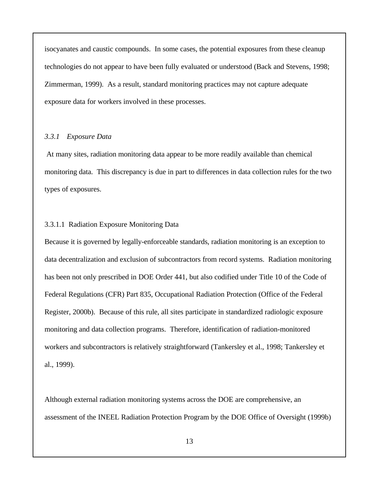isocyanates and caustic compounds. In some cases, the potential exposures from these cleanup technologies do not appear to have been fully evaluated or understood (Back and Stevens, 1998; Zimmerman, 1999). As a result, standard monitoring practices may not capture adequate exposure data for workers involved in these processes.

#### *3.3.1 Exposure Data*

 At many sites, radiation monitoring data appear to be more readily available than chemical monitoring data. This discrepancy is due in part to differences in data collection rules for the two types of exposures.

#### 3.3.1.1 Radiation Exposure Monitoring Data

Because it is governed by legally-enforceable standards, radiation monitoring is an exception to data decentralization and exclusion of subcontractors from record systems. Radiation monitoring has been not only prescribed in DOE Order 441, but also codified under Title 10 of the Code of Federal Regulations (CFR) Part 835, Occupational Radiation Protection (Office of the Federal Register, 2000b). Because of this rule, all sites participate in standardized radiologic exposure monitoring and data collection programs. Therefore, identification of radiation-monitored workers and subcontractors is relatively straightforward (Tankersley et al., 1998; Tankersley et al., 1999).

Although external radiation monitoring systems across the DOE are comprehensive, an assessment of the INEEL Radiation Protection Program by the DOE Office of Oversight (1999b)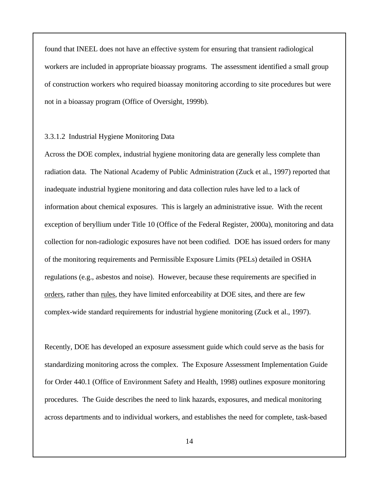found that INEEL does not have an effective system for ensuring that transient radiological workers are included in appropriate bioassay programs. The assessment identified a small group of construction workers who required bioassay monitoring according to site procedures but were not in a bioassay program (Office of Oversight, 1999b).

#### 3.3.1.2 Industrial Hygiene Monitoring Data

Across the DOE complex, industrial hygiene monitoring data are generally less complete than radiation data. The National Academy of Public Administration (Zuck et al., 1997) reported that inadequate industrial hygiene monitoring and data collection rules have led to a lack of information about chemical exposures. This is largely an administrative issue. With the recent exception of beryllium under Title 10 (Office of the Federal Register, 2000a), monitoring and data collection for non-radiologic exposures have not been codified. DOE has issued orders for many of the monitoring requirements and Permissible Exposure Limits (PELs) detailed in OSHA regulations (e.g., asbestos and noise). However, because these requirements are specified in orders, rather than rules, they have limited enforceability at DOE sites, and there are few complex-wide standard requirements for industrial hygiene monitoring (Zuck et al., 1997).

Recently, DOE has developed an exposure assessment guide which could serve as the basis for standardizing monitoring across the complex. The Exposure Assessment Implementation Guide for Order 440.1 (Office of Environment Safety and Health, 1998) outlines exposure monitoring procedures. The Guide describes the need to link hazards, exposures, and medical monitoring across departments and to individual workers, and establishes the need for complete, task-based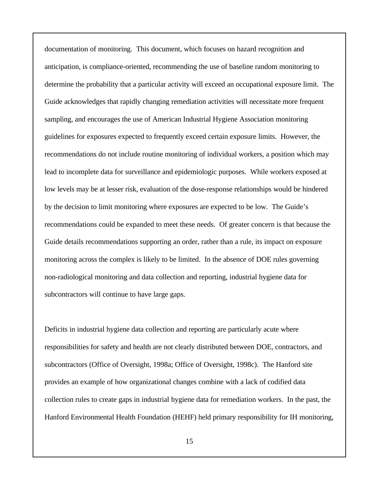documentation of monitoring. This document, which focuses on hazard recognition and anticipation, is compliance-oriented, recommending the use of baseline random monitoring to determine the probability that a particular activity will exceed an occupational exposure limit. The Guide acknowledges that rapidly changing remediation activities will necessitate more frequent sampling, and encourages the use of American Industrial Hygiene Association monitoring guidelines for exposures expected to frequently exceed certain exposure limits. However, the recommendations do not include routine monitoring of individual workers, a position which may lead to incomplete data for surveillance and epidemiologic purposes. While workers exposed at low levels may be at lesser risk, evaluation of the dose-response relationships would be hindered by the decision to limit monitoring where exposures are expected to be low. The Guide's recommendations could be expanded to meet these needs. Of greater concern is that because the Guide details recommendations supporting an order, rather than a rule, its impact on exposure monitoring across the complex is likely to be limited. In the absence of DOE rules governing non-radiological monitoring and data collection and reporting, industrial hygiene data for subcontractors will continue to have large gaps.

Deficits in industrial hygiene data collection and reporting are particularly acute where responsibilities for safety and health are not clearly distributed between DOE, contractors, and subcontractors (Office of Oversight, 1998a; Office of Oversight, 1998c). The Hanford site provides an example of how organizational changes combine with a lack of codified data collection rules to create gaps in industrial hygiene data for remediation workers. In the past, the Hanford Environmental Health Foundation (HEHF) held primary responsibility for IH monitoring,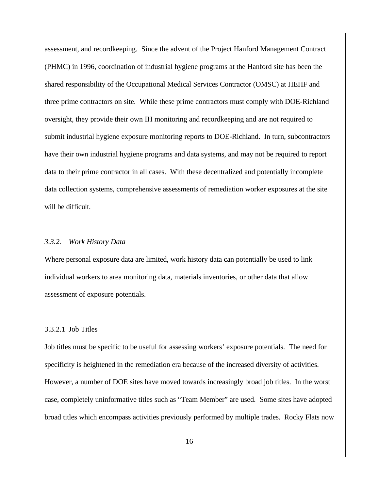assessment, and recordkeeping. Since the advent of the Project Hanford Management Contract (PHMC) in 1996, coordination of industrial hygiene programs at the Hanford site has been the shared responsibility of the Occupational Medical Services Contractor (OMSC) at HEHF and three prime contractors on site. While these prime contractors must comply with DOE-Richland oversight, they provide their own IH monitoring and recordkeeping and are not required to submit industrial hygiene exposure monitoring reports to DOE-Richland. In turn, subcontractors have their own industrial hygiene programs and data systems, and may not be required to report data to their prime contractor in all cases. With these decentralized and potentially incomplete data collection systems, comprehensive assessments of remediation worker exposures at the site will be difficult.

#### *3.3.2. Work History Data*

Where personal exposure data are limited, work history data can potentially be used to link individual workers to area monitoring data, materials inventories, or other data that allow assessment of exposure potentials.

#### 3.3.2.1 Job Titles

Job titles must be specific to be useful for assessing workers' exposure potentials. The need for specificity is heightened in the remediation era because of the increased diversity of activities. However, a number of DOE sites have moved towards increasingly broad job titles. In the worst case, completely uninformative titles such as "Team Member" are used. Some sites have adopted broad titles which encompass activities previously performed by multiple trades. Rocky Flats now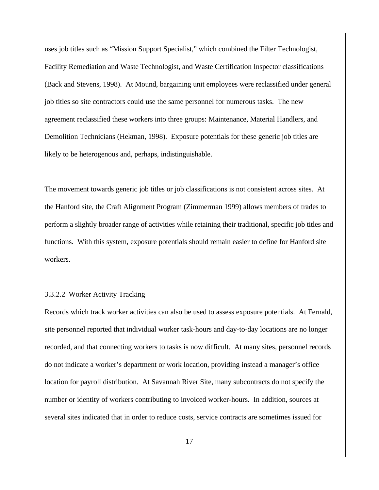uses job titles such as "Mission Support Specialist," which combined the Filter Technologist, Facility Remediation and Waste Technologist, and Waste Certification Inspector classifications (Back and Stevens, 1998). At Mound, bargaining unit employees were reclassified under general job titles so site contractors could use the same personnel for numerous tasks. The new agreement reclassified these workers into three groups: Maintenance, Material Handlers, and Demolition Technicians (Hekman, 1998). Exposure potentials for these generic job titles are likely to be heterogenous and, perhaps, indistinguishable.

The movement towards generic job titles or job classifications is not consistent across sites. At the Hanford site, the Craft Alignment Program (Zimmerman 1999) allows members of trades to perform a slightly broader range of activities while retaining their traditional, specific job titles and functions. With this system, exposure potentials should remain easier to define for Hanford site workers.

#### 3.3.2.2 Worker Activity Tracking

Records which track worker activities can also be used to assess exposure potentials. At Fernald, site personnel reported that individual worker task-hours and day-to-day locations are no longer recorded, and that connecting workers to tasks is now difficult. At many sites, personnel records do not indicate a worker's department or work location, providing instead a manager's office location for payroll distribution. At Savannah River Site, many subcontracts do not specify the number or identity of workers contributing to invoiced worker-hours. In addition, sources at several sites indicated that in order to reduce costs, service contracts are sometimes issued for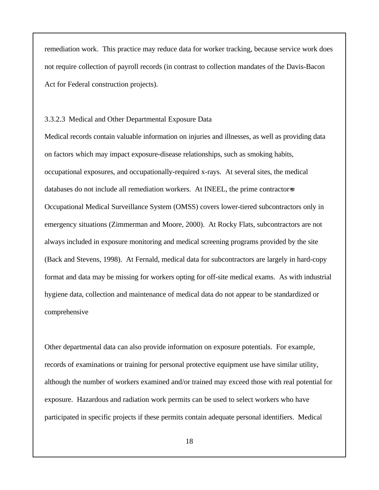remediation work. This practice may reduce data for worker tracking, because service work does not require collection of payroll records (in contrast to collection mandates of the Davis-Bacon Act for Federal construction projects).

#### 3.3.2.3 Medical and Other Departmental Exposure Data

Medical records contain valuable information on injuries and illnesses, as well as providing data on factors which may impact exposure-disease relationships, such as smoking habits, occupational exposures, and occupationally-required x-rays. At several sites, the medical databases do not include all remediation workers. At INEEL, the prime contractors Occupational Medical Surveillance System (OMSS) covers lower-tiered subcontractors only in emergency situations (Zimmerman and Moore, 2000). At Rocky Flats, subcontractors are not always included in exposure monitoring and medical screening programs provided by the site (Back and Stevens, 1998). At Fernald, medical data for subcontractors are largely in hard-copy format and data may be missing for workers opting for off-site medical exams. As with industrial hygiene data, collection and maintenance of medical data do not appear to be standardized or comprehensive

Other departmental data can also provide information on exposure potentials. For example, records of examinations or training for personal protective equipment use have similar utility, although the number of workers examined and/or trained may exceed those with real potential for exposure. Hazardous and radiation work permits can be used to select workers who have participated in specific projects if these permits contain adequate personal identifiers. Medical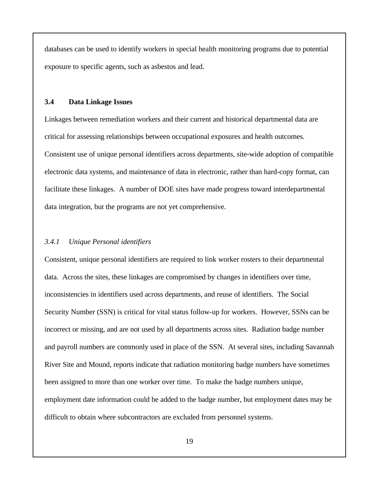databases can be used to identify workers in special health monitoring programs due to potential exposure to specific agents, such as asbestos and lead.

#### **3.4 Data Linkage Issues**

Linkages between remediation workers and their current and historical departmental data are critical for assessing relationships between occupational exposures and health outcomes. Consistent use of unique personal identifiers across departments, site-wide adoption of compatible electronic data systems, and maintenance of data in electronic, rather than hard-copy format, can facilitate these linkages. A number of DOE sites have made progress toward interdepartmental data integration, but the programs are not yet comprehensive.

#### *3.4.1 Unique Personal identifiers*

Consistent, unique personal identifiers are required to link worker rosters to their departmental data. Across the sites, these linkages are compromised by changes in identifiers over time, inconsistencies in identifiers used across departments, and reuse of identifiers. The Social Security Number (SSN) is critical for vital status follow-up for workers. However, SSNs can be incorrect or missing, and are not used by all departments across sites. Radiation badge number and payroll numbers are commonly used in place of the SSN. At several sites, including Savannah River Site and Mound, reports indicate that radiation monitoring badge numbers have sometimes been assigned to more than one worker over time. To make the badge numbers unique, employment date information could be added to the badge number, but employment dates may be difficult to obtain where subcontractors are excluded from personnel systems.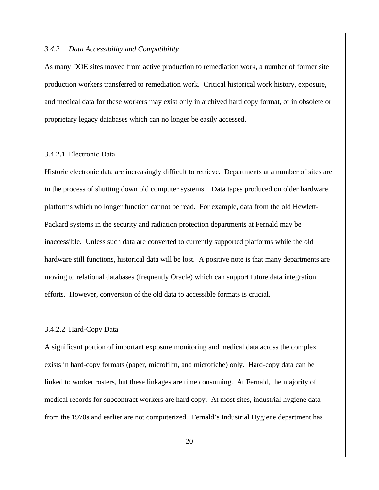#### *3.4.2 Data Accessibility and Compatibility*

As many DOE sites moved from active production to remediation work, a number of former site production workers transferred to remediation work. Critical historical work history, exposure, and medical data for these workers may exist only in archived hard copy format, or in obsolete or proprietary legacy databases which can no longer be easily accessed.

### 3.4.2.1 Electronic Data

Historic electronic data are increasingly difficult to retrieve. Departments at a number of sites are in the process of shutting down old computer systems. Data tapes produced on older hardware platforms which no longer function cannot be read. For example, data from the old Hewlett-Packard systems in the security and radiation protection departments at Fernald may be inaccessible. Unless such data are converted to currently supported platforms while the old hardware still functions, historical data will be lost. A positive note is that many departments are moving to relational databases (frequently Oracle) which can support future data integration efforts. However, conversion of the old data to accessible formats is crucial.

#### 3.4.2.2 Hard-Copy Data

A significant portion of important exposure monitoring and medical data across the complex exists in hard-copy formats (paper, microfilm, and microfiche) only. Hard-copy data can be linked to worker rosters, but these linkages are time consuming. At Fernald, the majority of medical records for subcontract workers are hard copy. At most sites, industrial hygiene data from the 1970s and earlier are not computerized. Fernald's Industrial Hygiene department has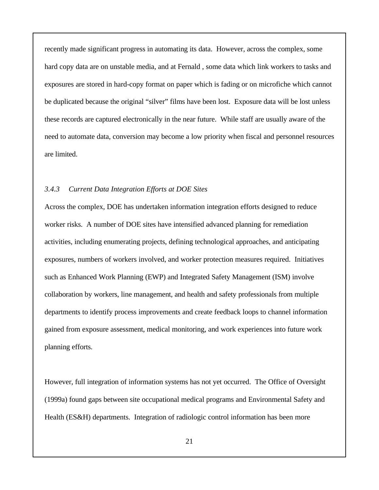recently made significant progress in automating its data. However, across the complex, some hard copy data are on unstable media, and at Fernald , some data which link workers to tasks and exposures are stored in hard-copy format on paper which is fading or on microfiche which cannot be duplicated because the original "silver" films have been lost. Exposure data will be lost unless these records are captured electronically in the near future. While staff are usually aware of the need to automate data, conversion may become a low priority when fiscal and personnel resources are limited.

#### *3.4.3 Current Data Integration Efforts at DOE Sites*

Across the complex, DOE has undertaken information integration efforts designed to reduce worker risks. A number of DOE sites have intensified advanced planning for remediation activities, including enumerating projects, defining technological approaches, and anticipating exposures, numbers of workers involved, and worker protection measures required. Initiatives such as Enhanced Work Planning (EWP) and Integrated Safety Management (ISM) involve collaboration by workers, line management, and health and safety professionals from multiple departments to identify process improvements and create feedback loops to channel information gained from exposure assessment, medical monitoring, and work experiences into future work planning efforts.

However, full integration of information systems has not yet occurred. The Office of Oversight (1999a) found gaps between site occupational medical programs and Environmental Safety and Health (ES&H) departments. Integration of radiologic control information has been more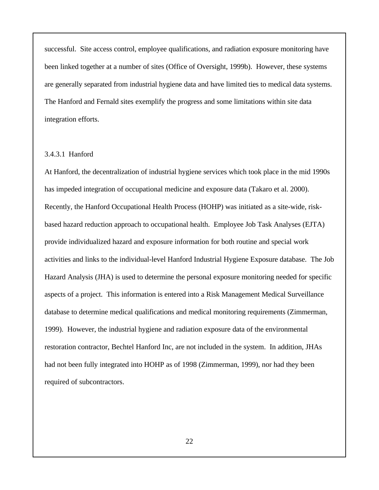successful. Site access control, employee qualifications, and radiation exposure monitoring have been linked together at a number of sites (Office of Oversight, 1999b). However, these systems are generally separated from industrial hygiene data and have limited ties to medical data systems. The Hanford and Fernald sites exemplify the progress and some limitations within site data integration efforts.

### 3.4.3.1 Hanford

At Hanford, the decentralization of industrial hygiene services which took place in the mid 1990s has impeded integration of occupational medicine and exposure data (Takaro et al. 2000). Recently, the Hanford Occupational Health Process (HOHP) was initiated as a site-wide, riskbased hazard reduction approach to occupational health. Employee Job Task Analyses (EJTA) provide individualized hazard and exposure information for both routine and special work activities and links to the individual-level Hanford Industrial Hygiene Exposure database. The Job Hazard Analysis (JHA) is used to determine the personal exposure monitoring needed for specific aspects of a project. This information is entered into a Risk Management Medical Surveillance database to determine medical qualifications and medical monitoring requirements (Zimmerman, 1999). However, the industrial hygiene and radiation exposure data of the environmental restoration contractor, Bechtel Hanford Inc, are not included in the system. In addition, JHAs had not been fully integrated into HOHP as of 1998 (Zimmerman, 1999), nor had they been required of subcontractors.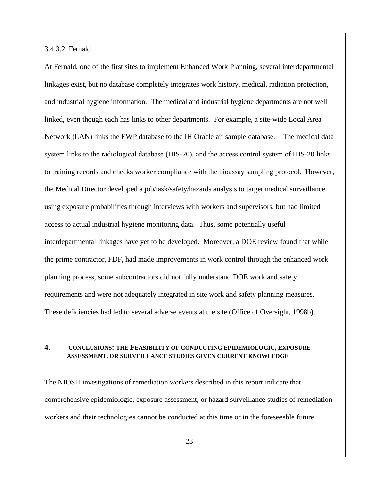3.4.3.2 Fernald

At Fernald, one of the first sites to implement Enhanced Work Planning, several interdepartmental linkages exist, but no database completely integrates work history, medical, radiation protection, and industrial hygiene information. The medical and industrial hygiene departments are not well linked, even though each has links to other departments. For example, a site-wide Local Area Network (LAN) links the EWP database to the IH Oracle air sample database. The medical data system links to the radiological database (HIS-20), and the access control system of HIS-20 links to training records and checks worker compliance with the bioassay sampling protocol. However, the Medical Director developed a job/task/safety/hazards analysis to target medical surveillance using exposure probabilities through interviews with workers and supervisors, but had limited access to actual industrial hygiene monitoring data. Thus, some potentially useful interdepartmental linkages have yet to be developed. Moreover, a DOE review found that while the prime contractor, FDF, had made improvements in work control through the enhanced work planning process, some subcontractors did not fully understand DOE work and safety requirements and were not adequately integrated in site work and safety planning measures. These deficiencies had led to several adverse events at the site (Office of Oversight, 1998b).

#### **4. CONCLUSIONS: THE FEASIBILITY OF CONDUCTING EPIDEMIOLOGIC, EXPOSURE ASSESSMENT, OR SURVEILLANCE STUDIES GIVEN CURRENT KNOWLEDGE**

The NIOSH investigations of remediation workers described in this report indicate that comprehensive epidemiologic, exposure assessment, or hazard surveillance studies of remediation workers and their technologies cannot be conducted at this time or in the foreseeable future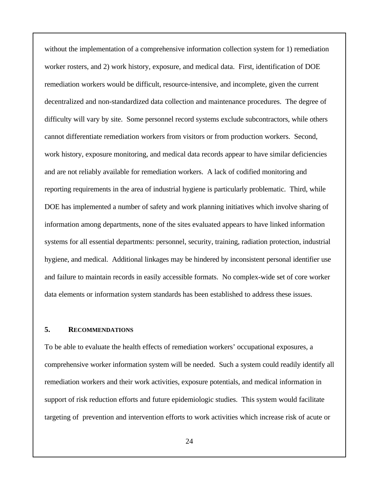without the implementation of a comprehensive information collection system for 1) remediation worker rosters, and 2) work history, exposure, and medical data. First, identification of DOE remediation workers would be difficult, resource-intensive, and incomplete, given the current decentralized and non-standardized data collection and maintenance procedures. The degree of difficulty will vary by site. Some personnel record systems exclude subcontractors, while others cannot differentiate remediation workers from visitors or from production workers. Second, work history, exposure monitoring, and medical data records appear to have similar deficiencies and are not reliably available for remediation workers. A lack of codified monitoring and reporting requirements in the area of industrial hygiene is particularly problematic. Third, while DOE has implemented a number of safety and work planning initiatives which involve sharing of information among departments, none of the sites evaluated appears to have linked information systems for all essential departments: personnel, security, training, radiation protection, industrial hygiene, and medical. Additional linkages may be hindered by inconsistent personal identifier use and failure to maintain records in easily accessible formats. No complex-wide set of core worker data elements or information system standards has been established to address these issues.

#### **5. RECOMMENDATIONS**

To be able to evaluate the health effects of remediation workers' occupational exposures, a comprehensive worker information system will be needed. Such a system could readily identify all remediation workers and their work activities, exposure potentials, and medical information in support of risk reduction efforts and future epidemiologic studies. This system would facilitate targeting of prevention and intervention efforts to work activities which increase risk of acute or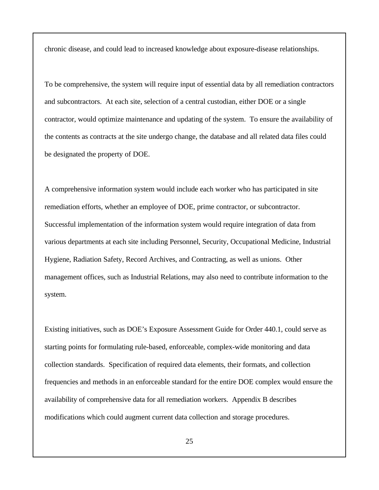chronic disease, and could lead to increased knowledge about exposure-disease relationships.

To be comprehensive, the system will require input of essential data by all remediation contractors and subcontractors. At each site, selection of a central custodian, either DOE or a single contractor, would optimize maintenance and updating of the system. To ensure the availability of the contents as contracts at the site undergo change, the database and all related data files could be designated the property of DOE.

A comprehensive information system would include each worker who has participated in site remediation efforts, whether an employee of DOE, prime contractor, or subcontractor. Successful implementation of the information system would require integration of data from various departments at each site including Personnel, Security, Occupational Medicine, Industrial Hygiene, Radiation Safety, Record Archives, and Contracting, as well as unions. Other management offices, such as Industrial Relations, may also need to contribute information to the system.

Existing initiatives, such as DOE's Exposure Assessment Guide for Order 440.1, could serve as starting points for formulating rule-based, enforceable, complex-wide monitoring and data collection standards. Specification of required data elements, their formats, and collection frequencies and methods in an enforceable standard for the entire DOE complex would ensure the availability of comprehensive data for all remediation workers. Appendix B describes modifications which could augment current data collection and storage procedures.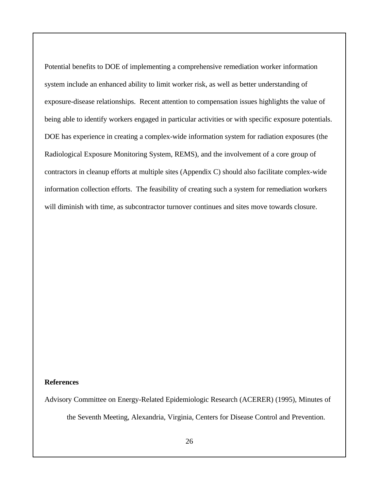Potential benefits to DOE of implementing a comprehensive remediation worker information system include an enhanced ability to limit worker risk, as well as better understanding of exposure-disease relationships. Recent attention to compensation issues highlights the value of being able to identify workers engaged in particular activities or with specific exposure potentials. DOE has experience in creating a complex-wide information system for radiation exposures (the Radiological Exposure Monitoring System, REMS), and the involvement of a core group of contractors in cleanup efforts at multiple sites (Appendix C) should also facilitate complex-wide information collection efforts. The feasibility of creating such a system for remediation workers will diminish with time, as subcontractor turnover continues and sites move towards closure.

#### **References**

Advisory Committee on Energy-Related Epidemiologic Research (ACERER) (1995), Minutes of

the Seventh Meeting, Alexandria, Virginia, Centers for Disease Control and Prevention.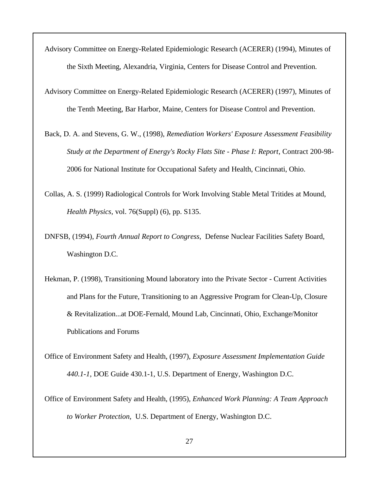- Advisory Committee on Energy-Related Epidemiologic Research (ACERER) (1994), Minutes of the Sixth Meeting, Alexandria, Virginia, Centers for Disease Control and Prevention.
- Advisory Committee on Energy-Related Epidemiologic Research (ACERER) (1997), Minutes of the Tenth Meeting, Bar Harbor, Maine, Centers for Disease Control and Prevention.
- Back, D. A. and Stevens, G. W., (1998), *Remediation Workers' Exposure Assessment Feasibility Study at the Department of Energy's Rocky Flats Site - Phase I: Report*, Contract 200-98- 2006 for National Institute for Occupational Safety and Health, Cincinnati, Ohio.
- Collas, A. S. (1999) Radiological Controls for Work Involving Stable Metal Tritides at Mound, *Health Physics,* vol. 76(Suppl) (6), pp. S135.
- DNFSB, (1994), *Fourth Annual Report to Congress*, Defense Nuclear Facilities Safety Board, Washington D.C.
- Hekman, P. (1998), Transitioning Mound laboratory into the Private Sector Current Activities and Plans for the Future, Transitioning to an Aggressive Program for Clean-Up, Closure & Revitalization...at DOE-Fernald, Mound Lab, Cincinnati, Ohio, Exchange/Monitor Publications and Forums
- Office of Environment Safety and Health, (1997), *Exposure Assessment Implementation Guide 440.1-1*, DOE Guide 430.1-1, U.S. Department of Energy, Washington D.C.
- Office of Environment Safety and Health, (1995), *Enhanced Work Planning: A Team Approach to Worker Protection*, U.S. Department of Energy, Washington D.C.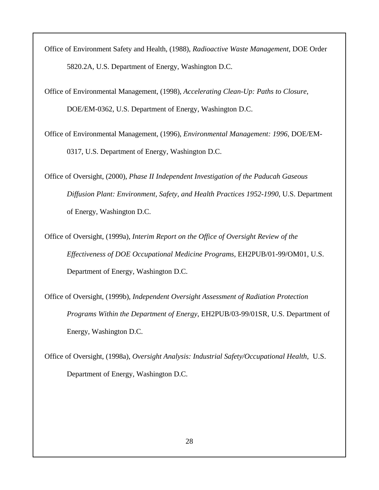Office of Environment Safety and Health, (1988), *Radioactive Waste Management*, DOE Order 5820.2A, U.S. Department of Energy, Washington D.C.

Office of Environmental Management, (1998), *Accelerating Clean-Up: Paths to Closure*, DOE/EM-0362, U.S. Department of Energy, Washington D.C.

Office of Environmental Management, (1996), *Environmental Management: 1996*, DOE/EM-0317, U.S. Department of Energy, Washington D.C.

Office of Oversight, (2000), *Phase II Independent Investigation of the Paducah Gaseous Diffusion Plant: Environment, Safety, and Health Practices 1952-1990*, U.S. Department of Energy, Washington D.C.

Office of Oversight, (1999a), *Interim Report on the Office of Oversight Review of the Effectiveness of DOE Occupational Medicine Programs*, EH2PUB/01-99/OM01, U.S. Department of Energy, Washington D.C.

Office of Oversight, (1999b), *Independent Oversight Assessment of Radiation Protection Programs Within the Department of Energy*, EH2PUB/03-99/01SR, U.S. Department of Energy, Washington D.C.

Office of Oversight, (1998a), *Oversight Analysis: Industrial Safety/Occupational Health*, U.S. Department of Energy, Washington D.C.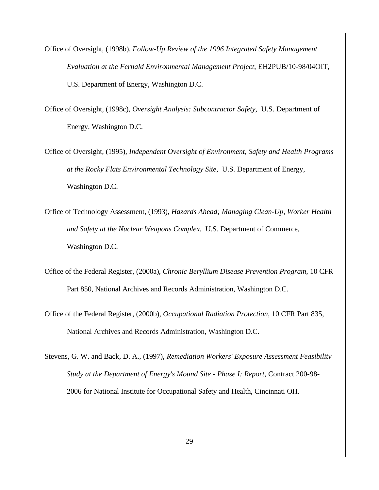Office of Oversight, (1998b), *Follow-Up Review of the 1996 Integrated Safety Management Evaluation at the Fernald Environmental Management Project*, EH2PUB/10-98/04OIT, U.S. Department of Energy, Washington D.C.

Office of Oversight, (1998c), *Oversight Analysis: Subcontractor Safety*, U.S. Department of Energy, Washington D.C.

Office of Oversight, (1995), *Independent Oversight of Environment, Safety and Health Programs at the Rocky Flats Environmental Technology Site*, U.S. Department of Energy, Washington D.C.

Office of Technology Assessment, (1993), *Hazards Ahead; Managing Clean-Up, Worker Health and Safety at the Nuclear Weapons Complex*, U.S. Department of Commerce, Washington D.C.

Office of the Federal Register, (2000a), *Chronic Beryllium Disease Prevention Program*, 10 CFR Part 850, National Archives and Records Administration, Washington D.C.

Office of the Federal Register, (2000b), *Occupational Radiation Protection*, 10 CFR Part 835, National Archives and Records Administration, Washington D.C.

Stevens, G. W. and Back, D. A., (1997), *Remediation Workers' Exposure Assessment Feasibility Study at the Department of Energy's Mound Site - Phase I: Report*, Contract 200-98- 2006 for National Institute for Occupational Safety and Health, Cincinnati OH.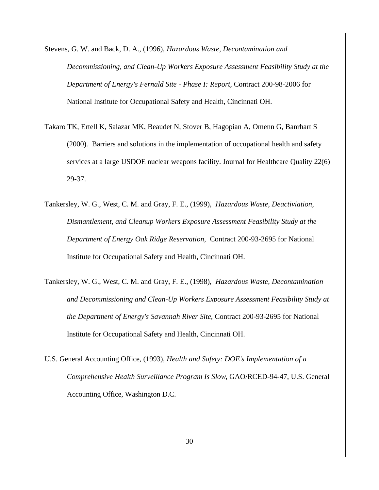Stevens, G. W. and Back, D. A., (1996), *Hazardous Waste, Decontamination and Decommissioning, and Clean-Up Workers Exposure Assessment Feasibility Study at the Department of Energy's Fernald Site - Phase I: Report,* Contract 200-98-2006 for National Institute for Occupational Safety and Health, Cincinnati OH.

- Takaro TK, Ertell K, Salazar MK, Beaudet N, Stover B, Hagopian A, Omenn G, Banrhart S (2000). Barriers and solutions in the implementation of occupational health and safety services at a large USDOE nuclear weapons facility. Journal for Healthcare Quality 22(6) 29-37.
- Tankersley, W. G., West, C. M. and Gray, F. E., (1999), *Hazardous Waste, Deactiviation, Dismantlement, and Cleanup Workers Exposure Assessment Feasibility Study at the Department of Energy Oak Ridge Reservation*, Contract 200-93-2695 for National Institute for Occupational Safety and Health, Cincinnati OH.
- Tankersley, W. G., West, C. M. and Gray, F. E., (1998), *Hazardous Waste, Decontamination and Decommissioning and Clean-Up Workers Exposure Assessment Feasibility Study at the Department of Energy's Savannah River Site*, Contract 200-93-2695 for National Institute for Occupational Safety and Health, Cincinnati OH.
- U.S. General Accounting Office, (1993), *Health and Safety: DOE's Implementation of a Comprehensive Health Surveillance Program Is Slow*, GAO/RCED-94-47, U.S. General Accounting Office, Washington D.C.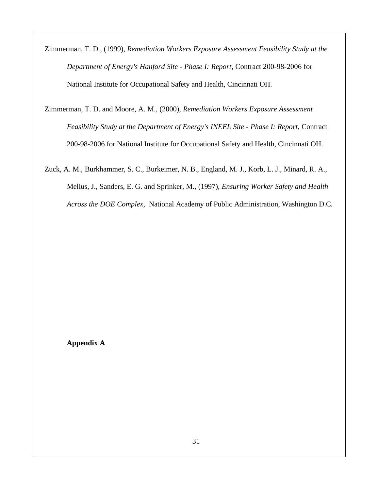Zimmerman, T. D., (1999), *Remediation Workers Exposure Assessment Feasibility Study at the Department of Energy's Hanford Site - Phase I: Report*, Contract 200-98-2006 for National Institute for Occupational Safety and Health, Cincinnati OH.

Zimmerman, T. D. and Moore, A. M., (2000), *Remediation Workers Exposure Assessment Feasibility Study at the Department of Energy's INEEL Site - Phase I: Report*, Contract 200-98-2006 for National Institute for Occupational Safety and Health, Cincinnati OH.

Zuck, A. M., Burkhammer, S. C., Burkeimer, N. B., England, M. J., Korb, L. J., Minard, R. A., Melius, J., Sanders, E. G. and Sprinker, M., (1997), *Ensuring Worker Safety and Health Across the DOE Complex*, National Academy of Public Administration, Washington D.C.

**Appendix A**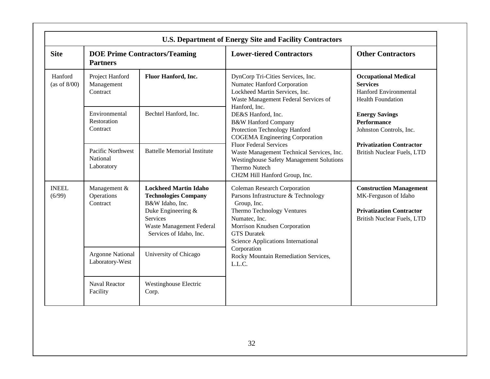| <b>U.S. Department of Energy Site and Facility Contractors</b> |                                                         |                                                                                                                                                                                |                                                                                                                                                                                                                                             |                                                                                                                                                                                      |  |  |
|----------------------------------------------------------------|---------------------------------------------------------|--------------------------------------------------------------------------------------------------------------------------------------------------------------------------------|---------------------------------------------------------------------------------------------------------------------------------------------------------------------------------------------------------------------------------------------|--------------------------------------------------------------------------------------------------------------------------------------------------------------------------------------|--|--|
| <b>Site</b>                                                    | <b>DOE Prime Contractors/Teaming</b><br><b>Partners</b> |                                                                                                                                                                                | <b>Lower-tiered Contractors</b>                                                                                                                                                                                                             | <b>Other Contractors</b>                                                                                                                                                             |  |  |
| Hanford<br>(as of $8/00$ )                                     | Project Hanford<br>Management<br>Contract               | Fluor Hanford, Inc.                                                                                                                                                            | DynCorp Tri-Cities Services, Inc.<br>Numatec Hanford Corporation<br>Lockheed Martin Services, Inc.<br>Waste Management Federal Services of                                                                                                  | <b>Occupational Medical</b><br><b>Services</b><br><b>Hanford Environmental</b><br><b>Health Foundation</b><br><b>Energy Savings</b><br><b>Performance</b><br>Johnston Controls, Inc. |  |  |
|                                                                | Environmental<br>Restoration<br>Contract                | Bechtel Hanford, Inc.                                                                                                                                                          | Hanford, Inc.<br>DE&S Hanford, Inc.<br><b>B&amp;W Hanford Company</b><br>Protection Technology Hanford<br><b>COGEMA</b> Engineering Corporation                                                                                             |                                                                                                                                                                                      |  |  |
|                                                                | <b>Pacific Northwest</b><br>National<br>Laboratory      | <b>Battelle Memorial Institute</b>                                                                                                                                             | <b>Fluor Federal Services</b><br>Waste Management Technical Services, Inc.<br><b>Westinghouse Safety Management Solutions</b><br>Thermo Nutech<br>CH2M Hill Hanford Group, Inc.                                                             | <b>Privatization Contractor</b><br><b>British Nuclear Fuels, LTD</b>                                                                                                                 |  |  |
| <b>INEEL</b><br>(6/99)                                         | Management &<br>Operations<br>Contract                  | <b>Lockheed Martin Idaho</b><br><b>Technologies Company</b><br>B&W Idaho, Inc.<br>Duke Engineering &<br><b>Services</b><br>Waste Management Federal<br>Services of Idaho, Inc. | <b>Coleman Research Corporation</b><br>Parsons Infrastructure & Technology<br>Group, Inc.<br>Thermo Technology Ventures<br>Numatec, Inc.<br>Morrison Knudsen Corporation<br><b>GTS</b> Duratek<br><b>Science Applications International</b> | <b>Construction Management</b><br>MK-Ferguson of Idaho<br><b>Privatization Contractor</b><br><b>British Nuclear Fuels, LTD</b>                                                       |  |  |
|                                                                | <b>Argonne National</b><br>Laboratory-West              | University of Chicago                                                                                                                                                          | Corporation<br>Rocky Mountain Remediation Services,<br>L.L.C.                                                                                                                                                                               |                                                                                                                                                                                      |  |  |
|                                                                | <b>Naval Reactor</b><br>Facility                        | <b>Westinghouse Electric</b><br>Corp.                                                                                                                                          |                                                                                                                                                                                                                                             |                                                                                                                                                                                      |  |  |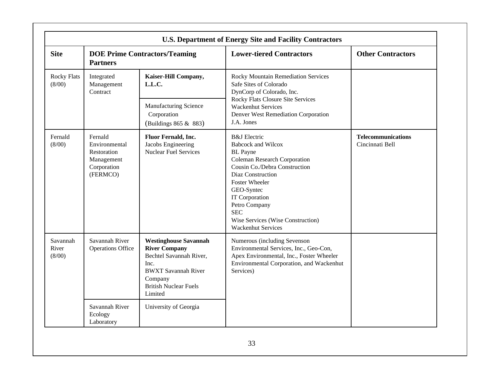| <b>U.S. Department of Energy Site and Facility Contractors</b> |                                                                                  |                                                                                                                                                                             |                                                                                                                                                                                                                                                                                                                                |                                              |  |
|----------------------------------------------------------------|----------------------------------------------------------------------------------|-----------------------------------------------------------------------------------------------------------------------------------------------------------------------------|--------------------------------------------------------------------------------------------------------------------------------------------------------------------------------------------------------------------------------------------------------------------------------------------------------------------------------|----------------------------------------------|--|
| <b>Site</b>                                                    | <b>DOE Prime Contractors/Teaming</b><br><b>Partners</b>                          |                                                                                                                                                                             | <b>Lower-tiered Contractors</b>                                                                                                                                                                                                                                                                                                | <b>Other Contractors</b>                     |  |
| <b>Rocky Flats</b><br>(8/00)                                   | Integrated<br>Management<br>Contract                                             | Kaiser-Hill Company,<br>L.L.C.                                                                                                                                              | Rocky Mountain Remediation Services<br>Safe Sites of Colorado<br>DynCorp of Colorado, Inc.<br>Rocky Flats Closure Site Services                                                                                                                                                                                                |                                              |  |
|                                                                |                                                                                  | <b>Manufacturing Science</b><br>Corporation<br>(Buildings 865 & 883)                                                                                                        | <b>Wackenhut Services</b><br>Denver West Remediation Corporation<br>J.A. Jones                                                                                                                                                                                                                                                 |                                              |  |
| Fernald<br>(8/00)                                              | Fernald<br>Environmental<br>Restoration<br>Management<br>Corporation<br>(FERMCO) | Fluor Fernald, Inc.<br>Jacobs Engineering<br><b>Nuclear Fuel Services</b>                                                                                                   | <b>B&amp;J</b> Electric<br><b>Babcock and Wilcox</b><br><b>BL</b> Payne<br><b>Coleman Research Corporation</b><br>Cousin Co./Debra Construction<br>Diaz Construction<br><b>Foster Wheeler</b><br>GEO-Syntec<br>IT Corporation<br>Petro Company<br><b>SEC</b><br>Wise Services (Wise Construction)<br><b>Wackenhut Services</b> | <b>Telecommunications</b><br>Cincinnati Bell |  |
| Savannah<br>River<br>(8/00)                                    | Savannah River<br><b>Operations Office</b>                                       | <b>Westinghouse Savannah</b><br><b>River Company</b><br>Bechtel Savannah River,<br>Inc.<br><b>BWXT</b> Savannah River<br>Company<br><b>British Nuclear Fuels</b><br>Limited | Numerous (including Sevenson<br>Environmental Services, Inc., Geo-Con,<br>Apex Environmental, Inc., Foster Wheeler<br>Environmental Corporation, and Wackenhut<br>Services)                                                                                                                                                    |                                              |  |
|                                                                | Savannah River<br>Ecology<br>Laboratory                                          | University of Georgia                                                                                                                                                       |                                                                                                                                                                                                                                                                                                                                |                                              |  |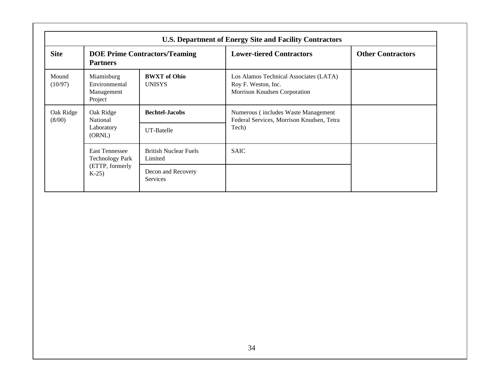|                     |                                                                                |                                         | <b>U.S. Department of Energy Site and Facility Contractors</b>                                |                          |
|---------------------|--------------------------------------------------------------------------------|-----------------------------------------|-----------------------------------------------------------------------------------------------|--------------------------|
| <b>Site</b>         | <b>DOE Prime Contractors/Teaming</b><br><b>Partners</b>                        |                                         | <b>Lower-tiered Contractors</b>                                                               | <b>Other Contractors</b> |
| Mound<br>(10/97)    | Miamisburg<br>Environmental<br>Management<br>Project                           | <b>BWXT</b> of Ohio<br><b>UNISYS</b>    | Los Alamos Technical Associates (LATA)<br>Roy F. Weston, Inc.<br>Morrison Knudsen Corporation |                          |
| Oak Ridge<br>(8/00) | Oak Ridge<br>National<br>Laboratory<br>(ORNL)                                  | <b>Bechtel-Jacobs</b><br>UT-Batelle     | Numerous (includes Waste Management<br>Federal Services, Morrison Knudsen, Tetra<br>Tech)     |                          |
|                     | <b>East Tennessee</b><br><b>Technology Park</b><br>(ETTP, formerly<br>$K-25$ ) | <b>British Nuclear Fuels</b><br>Limited | <b>SAIC</b>                                                                                   |                          |
|                     |                                                                                | Decon and Recovery<br>Services          |                                                                                               |                          |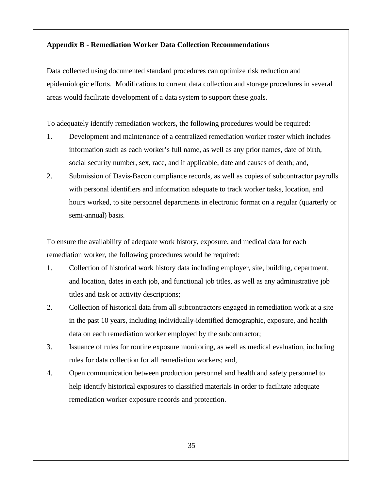#### **Appendix B - Remediation Worker Data Collection Recommendations**

Data collected using documented standard procedures can optimize risk reduction and epidemiologic efforts. Modifications to current data collection and storage procedures in several areas would facilitate development of a data system to support these goals.

To adequately identify remediation workers, the following procedures would be required:

- 1. Development and maintenance of a centralized remediation worker roster which includes information such as each worker's full name, as well as any prior names, date of birth, social security number, sex, race, and if applicable, date and causes of death; and,
- 2. Submission of Davis-Bacon compliance records, as well as copies of subcontractor payrolls with personal identifiers and information adequate to track worker tasks, location, and hours worked, to site personnel departments in electronic format on a regular (quarterly or semi-annual) basis.

To ensure the availability of adequate work history, exposure, and medical data for each remediation worker, the following procedures would be required:

- 1. Collection of historical work history data including employer, site, building, department, and location, dates in each job, and functional job titles, as well as any administrative job titles and task or activity descriptions;
- 2. Collection of historical data from all subcontractors engaged in remediation work at a site in the past 10 years, including individually-identified demographic, exposure, and health data on each remediation worker employed by the subcontractor;
- 3. Issuance of rules for routine exposure monitoring, as well as medical evaluation, including rules for data collection for all remediation workers; and,
- 4. Open communication between production personnel and health and safety personnel to help identify historical exposures to classified materials in order to facilitate adequate remediation worker exposure records and protection.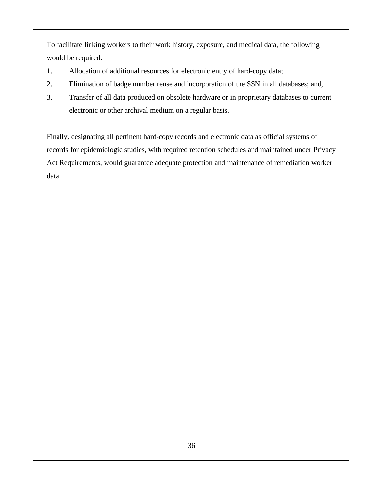To facilitate linking workers to their work history, exposure, and medical data, the following would be required:

- 1. Allocation of additional resources for electronic entry of hard-copy data;
- 2. Elimination of badge number reuse and incorporation of the SSN in all databases; and,
- 3. Transfer of all data produced on obsolete hardware or in proprietary databases to current electronic or other archival medium on a regular basis.

Finally, designating all pertinent hard-copy records and electronic data as official systems of records for epidemiologic studies, with required retention schedules and maintained under Privacy Act Requirements, would guarantee adequate protection and maintenance of remediation worker data.